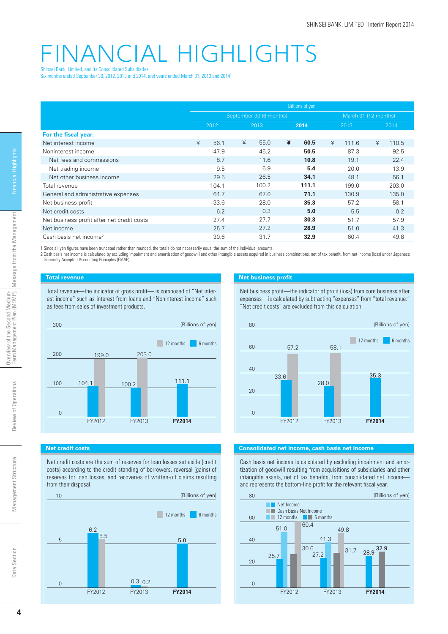# FINANCIAL HIGHLIGHTS Shinsei Bank, Limited, and its Consolidated Subsidiaries

Six months ended September 30, 2012, 2013 and 2014, and years ended March 31, 2013 and 20141

|                                            | <b>Billions of yen</b>  |       |   |       |   |       |   |                      |   |       |  |
|--------------------------------------------|-------------------------|-------|---|-------|---|-------|---|----------------------|---|-------|--|
|                                            | September 30 (6 months) |       |   |       |   |       |   | March 31 (12 months) |   |       |  |
|                                            | 2012                    |       |   | 2013  |   | 2014  |   | 2013                 |   | 2014  |  |
| For the fiscal year:                       |                         |       |   |       |   |       |   |                      |   |       |  |
| Net interest income                        | ¥                       | 56.1  | ¥ | 55.0  | ¥ | 60.5  | ¥ | 111.6                | ¥ | 110.5 |  |
| Noninterest income                         |                         | 47.9  |   | 45.2  |   | 50.5  |   | 87.3                 |   | 92.5  |  |
| Net fees and commissions                   |                         | 8.7   |   | 11.6  |   | 10.8  |   | 19.1                 |   | 22.4  |  |
| Net trading income                         |                         | 9.5   |   | 6.9   |   | 5.4   |   | 20.0                 |   | 13.9  |  |
| Net other business income                  |                         | 29.5  |   | 26.5  |   | 34.1  |   | 48.1                 |   | 56.1  |  |
| Total revenue                              |                         | 104.1 |   | 100.2 |   | 111.1 |   | 199.0                |   | 203.0 |  |
| General and administrative expenses        |                         | 64.7  |   | 67.0  |   | 71.1  |   | 130.9                |   | 135.0 |  |
| Net business profit                        |                         | 33.6  |   | 28.0  |   | 35.3  |   | 57.2                 |   | 58.1  |  |
| Net credit costs                           |                         | 6.2   |   | 0.3   |   | 5.0   |   | 5.5                  |   | 0.2   |  |
| Net business profit after net credit costs |                         | 27.4  |   | 27.7  |   | 30.3  |   | 51.7                 |   | 57.9  |  |
| Net income                                 |                         | 25.7  |   | 27.2  |   | 28.9  |   | 51.0                 |   | 41.3  |  |
| Cash basis net income <sup>2</sup>         |                         | 30.6  |   | 31.7  |   | 32.9  |   | 60.4                 |   | 49.8  |  |

1 Since all yen figures have been truncated rather than rounded, the totals do not necessarily equal the sum of the individual amounts.

2 Cash basis net income is calculated by excluding impairment and amortization of goodwill and other intangible assets acquired in business combinations, net of tax benefi t, from net income (loss) under Japanese Generally Accepted Accounting Principles (GAAP).

# **Total revenue**

300

**Net credit costs**

0

100

200

from their disposal.

6.2

5.5

10

0

5

Total revenue—the indicator of gross profit— is composed of "Net interest income" such as interest from loans and "Noninterest income" such as fees from sales of investment products.

Net credit costs are the sum of reserves for loan losses set aside (credit costs) according to the credit standing of borrowers, reversal (gains) of reserves for loan losses, and recoveries of written-off claims resulting

(Billions of yen)

12 months 6 months

5.0

FY2012 FY2013 **FY2014**

 $0.3$  0.2

FY2012 FY2013 **FY2014**

104.1 100.2 111.1

199.0 203.0

#### **Net business profit**

Net business profit—the indicator of profit (loss) from core business after expenses—is calculated by subtracting "expenses" from "total revenue." "Net credit costs" are excluded from this calculation.



### **Consolidated net income, cash basis net income**

Cash basis net income is calculated by excluding impairment and amortization of goodwill resulting from acquisitions of subsidiaries and other intangible assets, net of tax benefits, from consolidated net incomeand represents the bottom-line profit for the relevant fiscal year.



Financial Highlights